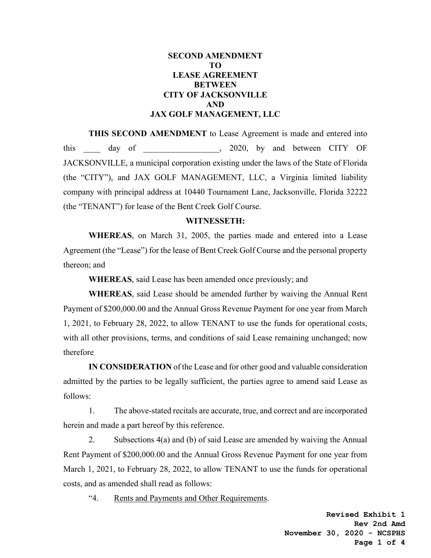# **SECOND AMENDMENT TO LEASE AGREEMENT BETWEEN CITY OF JACKSONVILLE AND JAX GOLF MANAGEMENT, LLC**

**THIS SECOND AMENDMENT** to Lease Agreement is made and entered into this day of  $\sim$ , 2020, by and between CITY OF JACKSONVILLE, a municipal corporation existing under the laws of the State of Florida (the "CITY"), and JAX GOLF MANAGEMENT, LLC, a Virginia limited liability company with principal address at 10440 Tournament Lane, Jacksonville, Florida 32222 (the "TENANT") for lease of the Bent Creek Golf Course.

#### **WITNESSETH:**

**WHEREAS**, on March 31, 2005, the parties made and entered into a Lease Agreement (the "Lease") for the lease of Bent Creek Golf Course and the personal property thereon; and

**WHEREAS**, said Lease has been amended once previously; and

**WHEREAS**, said Lease should be amended further by waiving the Annual Rent Payment of \$200,000.00 and the Annual Gross Revenue Payment for one year from March 1, 2021, to February 28, 2022, to allow TENANT to use the funds for operational costs, with all other provisions, terms, and conditions of said Lease remaining unchanged; now therefore

**IN CONSIDERATION** of the Lease and for other good and valuable consideration admitted by the parties to be legally sufficient, the parties agree to amend said Lease as follows:

 1. The above-stated recitals are accurate, true, and correct and are incorporated herein and made a part hereof by this reference.

 2. Subsections 4(a) and (b) of said Lease are amended by waiving the Annual Rent Payment of \$200,000.00 and the Annual Gross Revenue Payment for one year from March 1, 2021, to February 28, 2022, to allow TENANT to use the funds for operational costs, and as amended shall read as follows:

"4. Rents and Payments and Other Requirements.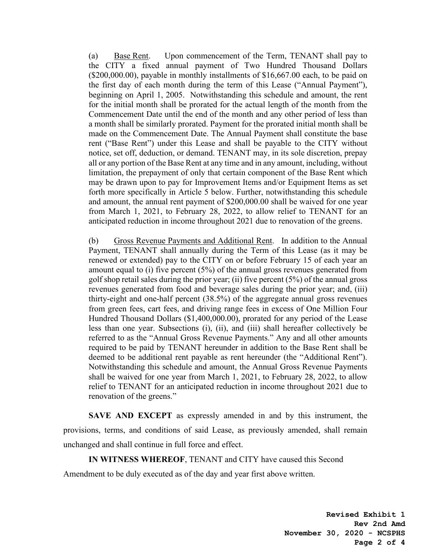(a) Base Rent. Upon commencement of the Term, TENANT shall pay to the CITY a fixed annual payment of Two Hundred Thousand Dollars (\$200,000.00), payable in monthly installments of \$16,667.00 each, to be paid on the first day of each month during the term of this Lease ("Annual Payment"), beginning on April 1, 2005. Notwithstanding this schedule and amount, the rent for the initial month shall be prorated for the actual length of the month from the Commencement Date until the end of the month and any other period of less than a month shall be similarly prorated. Payment for the prorated initial month shall be made on the Commencement Date. The Annual Payment shall constitute the base rent ("Base Rent") under this Lease and shall be payable to the CITY without notice, set off, deduction, or demand. TENANT may, in its sole discretion, prepay all or any portion of the Base Rent at any time and in any amount, including, without limitation, the prepayment of only that certain component of the Base Rent which may be drawn upon to pay for Improvement Items and/or Equipment Items as set forth more specifically in Article 5 below. Further, notwithstanding this schedule and amount, the annual rent payment of \$200,000.00 shall be waived for one year from March 1, 2021, to February 28, 2022, to allow relief to TENANT for an anticipated reduction in income throughout 2021 due to renovation of the greens.

(b) Gross Revenue Payments and Additional Rent. In addition to the Annual Payment, TENANT shall annually during the Term of this Lease (as it may be renewed or extended) pay to the CITY on or before February 15 of each year an amount equal to (i) five percent  $(5%)$  of the annual gross revenues generated from golf shop retail sales during the prior year; (ii) five percent (5%) of the annual gross revenues generated from food and beverage sales during the prior year; and, (iii) thirty-eight and one-half percent (38.5%) of the aggregate annual gross revenues from green fees, cart fees, and driving range fees in excess of One Million Four Hundred Thousand Dollars (\$1,400,000.00), prorated for any period of the Lease less than one year. Subsections (i), (ii), and (iii) shall hereafter collectively be referred to as the "Annual Gross Revenue Payments." Any and all other amounts required to be paid by TENANT hereunder in addition to the Base Rent shall be deemed to be additional rent payable as rent hereunder (the "Additional Rent"). Notwithstanding this schedule and amount, the Annual Gross Revenue Payments shall be waived for one year from March 1, 2021, to February 28, 2022, to allow relief to TENANT for an anticipated reduction in income throughout 2021 due to renovation of the greens."

**SAVE AND EXCEPT** as expressly amended in and by this instrument, the provisions, terms, and conditions of said Lease, as previously amended, shall remain unchanged and shall continue in full force and effect.

**IN WITNESS WHEREOF**, TENANT and CITY have caused this Second

Amendment to be duly executed as of the day and year first above written.

**Revised Exhibit 1 Rev 2nd Amd November 30, 2020 - NCSPHS Page 2 of 4**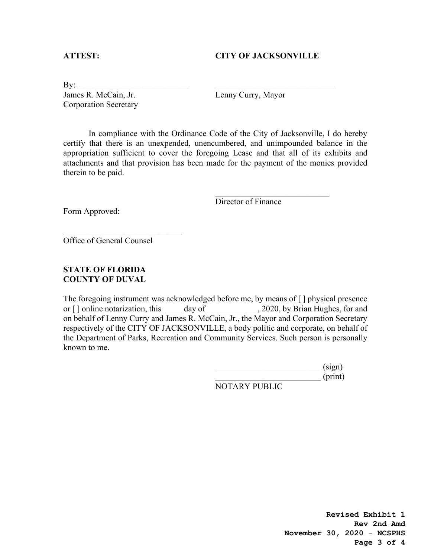### **ATTEST: CITY OF JACKSONVILLE**

 $\text{By:}\underline{\hspace{1.5cm}}$ James R. McCain, Jr. Lenny Curry, Mayor Corporation Secretary

In compliance with the Ordinance Code of the City of Jacksonville, I do hereby certify that there is an unexpended, unencumbered, and unimpounded balance in the appropriation sufficient to cover the foregoing Lease and that all of its exhibits and attachments and that provision has been made for the payment of the monies provided therein to be paid.

 $\frac{1}{2}$  , and the contribution of the contribution of  $\frac{1}{2}$  , and the contribution of the contribution of the contribution of the contribution of the contribution of the contribution of the contribution of the contr

Director of Finance

Form Approved:

Office of General Counsel

 $\overline{\phantom{a}}$  , and the set of the set of the set of the set of the set of the set of the set of the set of the set of the set of the set of the set of the set of the set of the set of the set of the set of the set of the s

# **STATE OF FLORIDA COUNTY OF DUVAL**

The foregoing instrument was acknowledged before me, by means of [ ] physical presence or [] online notarization, this day of , 2020, by Brian Hughes, for and on behalf of Lenny Curry and James R. McCain, Jr., the Mayor and Corporation Secretary respectively of the CITY OF JACKSONVILLE, a body politic and corporate, on behalf of the Department of Parks, Recreation and Community Services. Such person is personally known to me.

 $\qquad \qquad \text{(sign)}$  $\overline{\phantom{a}}$  (print) NOTARY PUBLIC

> **Revised Exhibit 1 Rev 2nd Amd November 30, 2020 - NCSPHS Page 3 of 4**